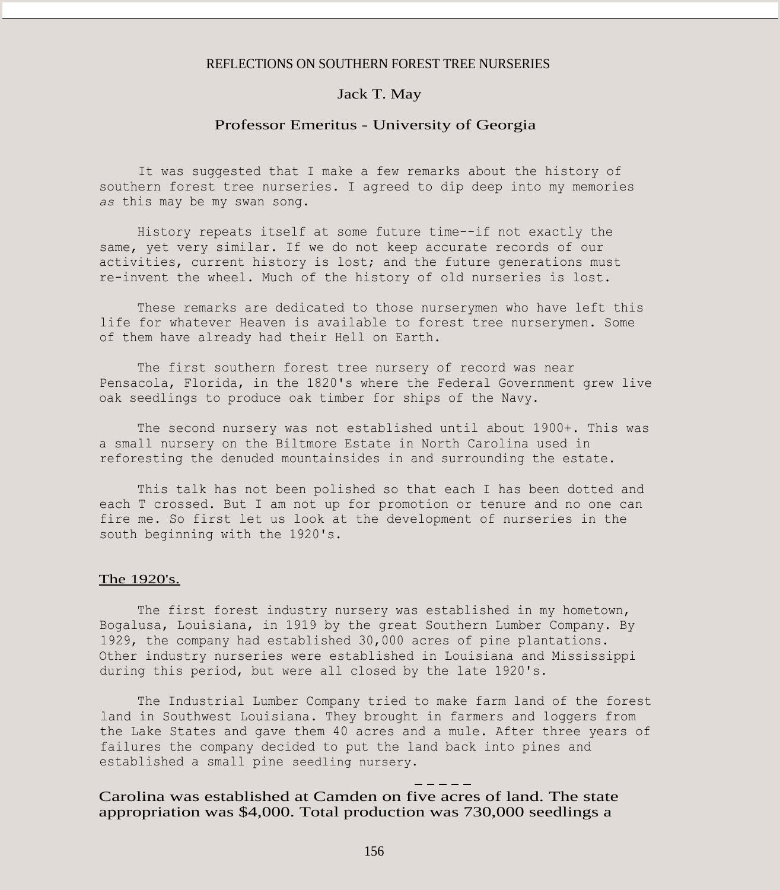#### REFLECTIONS ON SOUTHERN FOREST TREE NURSERIES

## Jack T. May

### Professor Emeritus - University of Georgia

It was suggested that I make a few remarks about the history of southern forest tree nurseries. I agreed to dip deep into my memories *as* this may be my swan song.

History repeats itself at some future time--if not exactly the same, yet very similar. If we do not keep accurate records of our activities, current history is lost; and the future generations must re-invent the wheel. Much of the history of old nurseries is lost.

These remarks are dedicated to those nurserymen who have left this life for whatever Heaven is available to forest tree nurserymen. Some of them have already had their Hell on Earth.

The first southern forest tree nursery of record was near Pensacola, Florida, in the 1820's where the Federal Government grew live oak seedlings to produce oak timber for ships of the Navy.

The second nursery was not established until about 1900+. This was a small nursery on the Biltmore Estate in North Carolina used in reforesting the denuded mountainsides in and surrounding the estate.

This talk has not been polished so that each I has been dotted and each T crossed. But I am not up for promotion or tenure and no one can fire me. So first let us look at the development of nurseries in the south beginning with the 1920's.

#### The 1920's.

The first forest industry nursery was established in my hometown, Bogalusa, Louisiana, in 1919 by the great Southern Lumber Company. By 1929, the company had established 30,000 acres of pine plantations. Other industry nurseries were established in Louisiana and Mississippi during this period, but were all closed by the late 1920's.

The Industrial Lumber Company tried to make farm land of the forest land in Southwest Louisiana. They brought in farmers and loggers from the Lake States and gave them 40 acres and a mule. After three years of failures the company decided to put the land back into pines and established a small pine seedling nursery.

Carolina was established at Camden on five acres of land. The state appropriation was \$4,000. Total production was 730,000 seedlings a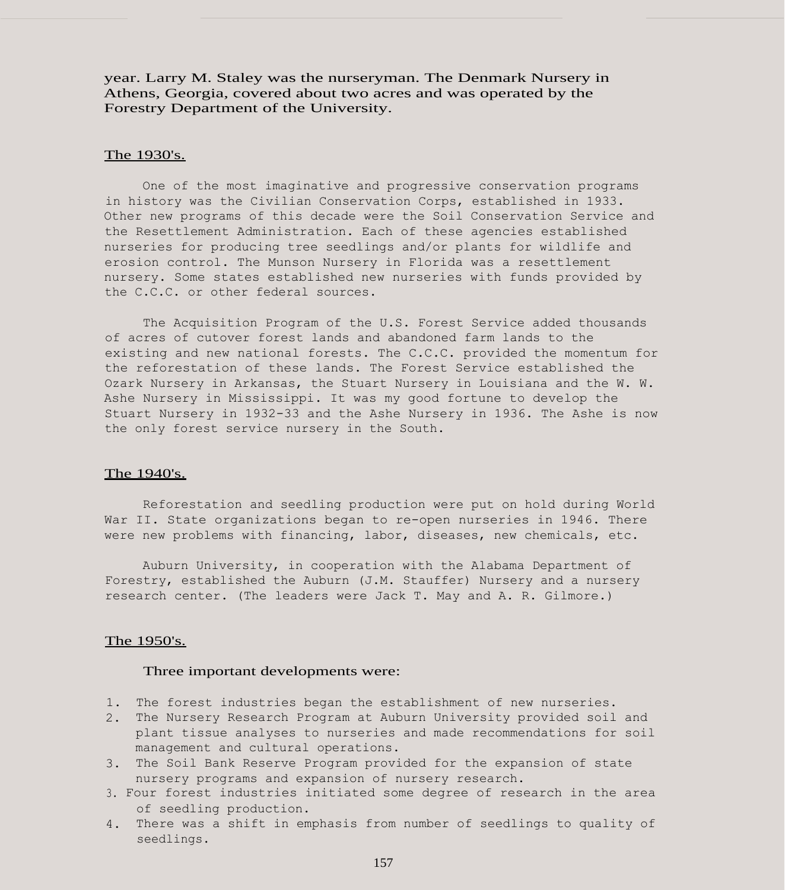year. Larry M. Staley was the nurseryman. The Denmark Nursery in Athens, Georgia, covered about two acres and was operated by the Forestry Department of the University.

#### The 1930's.

One of the most imaginative and progressive conservation programs in history was the Civilian Conservation Corps, established in 1933. Other new programs of this decade were the Soil Conservation Service and the Resettlement Administration. Each of these agencies established nurseries for producing tree seedlings and/or plants for wildlife and erosion control. The Munson Nursery in Florida was a resettlement nursery. Some states established new nurseries with funds provided by the C.C.C. or other federal sources.

The Acquisition Program of the U.S. Forest Service added thousands of acres of cutover forest lands and abandoned farm lands to the existing and new national forests. The C.C.C. provided the momentum for the reforestation of these lands. The Forest Service established the Ozark Nursery in Arkansas, the Stuart Nursery in Louisiana and the W. W. Ashe Nursery in Mississippi. It was my good fortune to develop the Stuart Nursery in 1932-33 and the Ashe Nursery in 1936. The Ashe is now the only forest service nursery in the South.

#### The 1940's.

Reforestation and seedling production were put on hold during World War II. State organizations began to re-open nurseries in 1946. There were new problems with financing, labor, diseases, new chemicals, etc.

Auburn University, in cooperation with the Alabama Department of Forestry, established the Auburn (J.M. Stauffer) Nursery and a nursery research center. (The leaders were Jack T. May and A. R. Gilmore.)

### The 1950's.

#### Three important developments were:

- 1. The forest industries began the establishment of new nurseries.
- 2. The Nursery Research Program at Auburn University provided soil and plant tissue analyses to nurseries and made recommendations for soil management and cultural operations.
- 3. The Soil Bank Reserve Program provided for the expansion of state nursery programs and expansion of nursery research.
- 3. Four forest industries initiated some degree of research in the area of seedling production.
- 4. There was a shift in emphasis from number of seedlings to quality of seedlings.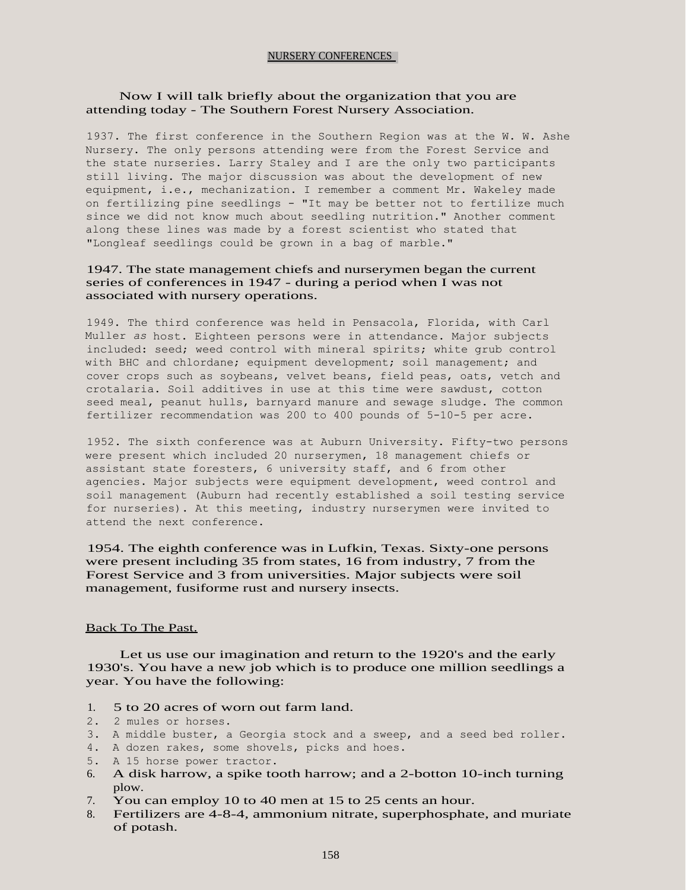### NURSERY CONFERENCES

# Now I will talk briefly about the organization that you are attending today - The Southern Forest Nursery Association.

1937. The first conference in the Southern Region was at the W. W. Ashe Nursery. The only persons attending were from the Forest Service and the state nurseries. Larry Staley and I are the only two participants still living. The major discussion was about the development of new equipment, i.e., mechanization. I remember a comment Mr. Wakeley made on fertilizing pine seedlings - "It may be better not to fertilize much since we did not know much about seedling nutrition." Another comment along these lines was made by a forest scientist who stated that "Longleaf seedlings could be grown in a bag of marble."

# 1947. The state management chiefs and nurserymen began the current series of conferences in 1947 - during a period when I was not associated with nursery operations.

1949. The third conference was held in Pensacola, Florida, with Carl Muller *as* host. Eighteen persons were in attendance. Major subjects included: seed; weed control with mineral spirits; white grub control with BHC and chlordane; equipment development; soil management; and cover crops such as soybeans, velvet beans, field peas, oats, vetch and crotalaria. Soil additives in use at this time were sawdust, cotton seed meal, peanut hulls, barnyard manure and sewage sludge. The common fertilizer recommendation was 200 to 400 pounds of 5-10-5 per acre.

1952. The sixth conference was at Auburn University. Fifty-two persons were present which included 20 nurserymen, 18 management chiefs or assistant state foresters, 6 university staff, and 6 from other agencies. Major subjects were equipment development, weed control and soil management (Auburn had recently established a soil testing service for nurseries). At this meeting, industry nurserymen were invited to attend the next conference.

1954. The eighth conference was in Lufkin, Texas. Sixty-one persons were present including 35 from states, 16 from industry, 7 from the Forest Service and 3 from universities. Major subjects were soil management, fusiforme rust and nursery insects.

### Back To The Past.

Let us use our imagination and return to the 1920's and the early 1930's. You have a new job which is to produce one million seedlings a year. You have the following:

- 1. 5 to 20 acres of worn out farm land.
- 2. 2 mules or horses.
- 3. A middle buster, a Georgia stock and a sweep, and a seed bed roller.
- 4. A dozen rakes, some shovels, picks and hoes.
- 5. A 15 horse power tractor.
- 6. A disk harrow, a spike tooth harrow; and a 2-botton 10-inch turning plow.
- 7. You can employ 10 to 40 men at 15 to 25 cents an hour.
- 8. Fertilizers are 4-8-4, ammonium nitrate, superphosphate, and muriate of potash.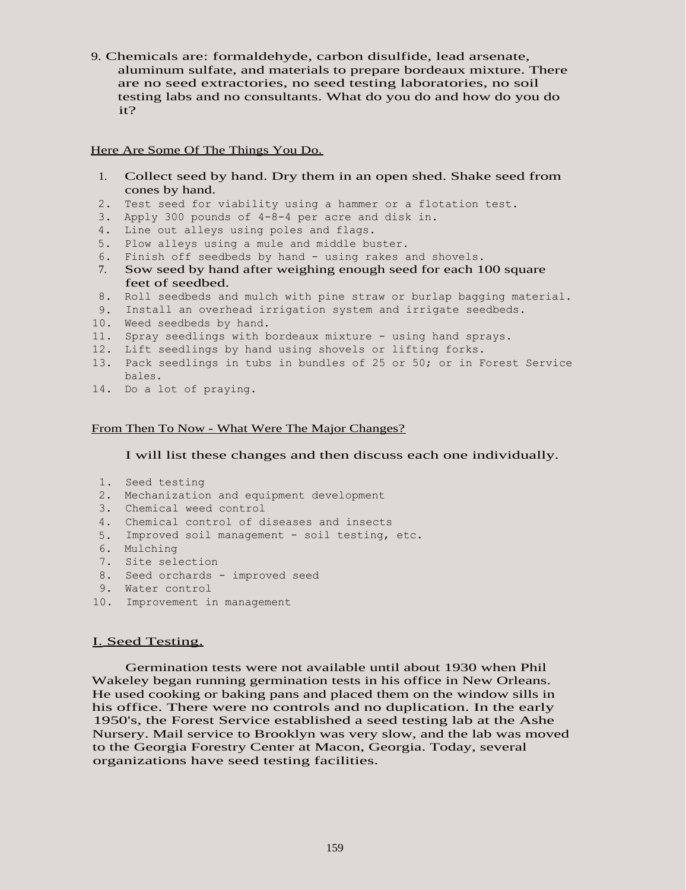9. Chemicals are: formaldehyde, carbon disulfide, lead arsenate, aluminum sulfate, and materials to prepare bordeaux mixture. There are no seed extractories, no seed testing laboratories, no soil testing labs and no consultants. What do you do and how do you do it?

## Here Are Some Of The Things You Do.

- 1. Collect seed by hand. Dry them in an open shed. Shake seed from cones by hand.
- 2. Test seed for viability using a hammer or a flotation test.
- 3. Apply 300 pounds of 4-8-4 per acre and disk in.
- 4. Line out alleys using poles and flags.
- 5. Plow alleys using a mule and middle buster.
- 6. Finish off seedbeds by hand using rakes and shovels.
- 7. Sow seed by hand after weighing enough seed for each 100 square feet of seedbed.
- 8. Roll seedbeds and mulch with pine straw or burlap bagging material.
- 9. Install an overhead irrigation system and irrigate seedbeds.
- 10. Weed seedbeds by hand.
- 11. Spray seedlings with bordeaux mixture using hand sprays.
- 12. Lift seedlings by hand using shovels or lifting forks.
- 13. Pack seedlings in tubs in bundles of 25 or 50; or in Forest Service bales.
- 14. Do a lot of praying.

# From Then To Now - What Were The Major Changes?

I will list these changes and then discuss each one individually.

- 1. Seed testing
- 2. Mechanization and equipment development
- 3. Chemical weed control
- 4. Chemical control of diseases and insects
- 5. Improved soil management soil testing, etc.
- 6. Mulching
- 7. Site selection
- 8. Seed orchards improved seed
- 9. Water control
- 10. Improvement in management

# I. Seed Testing.

Germination tests were not available until about 1930 when Phil Wakeley began running germination tests in his office in New Orleans. He used cooking or baking pans and placed them on the window sills in his office. There were no controls and no duplication. In the early 1950's, the Forest Service established a seed testing lab at the Ashe Nursery. Mail service to Brooklyn was very slow, and the lab was moved to the Georgia Forestry Center at Macon, Georgia. Today, several organizations have seed testing facilities.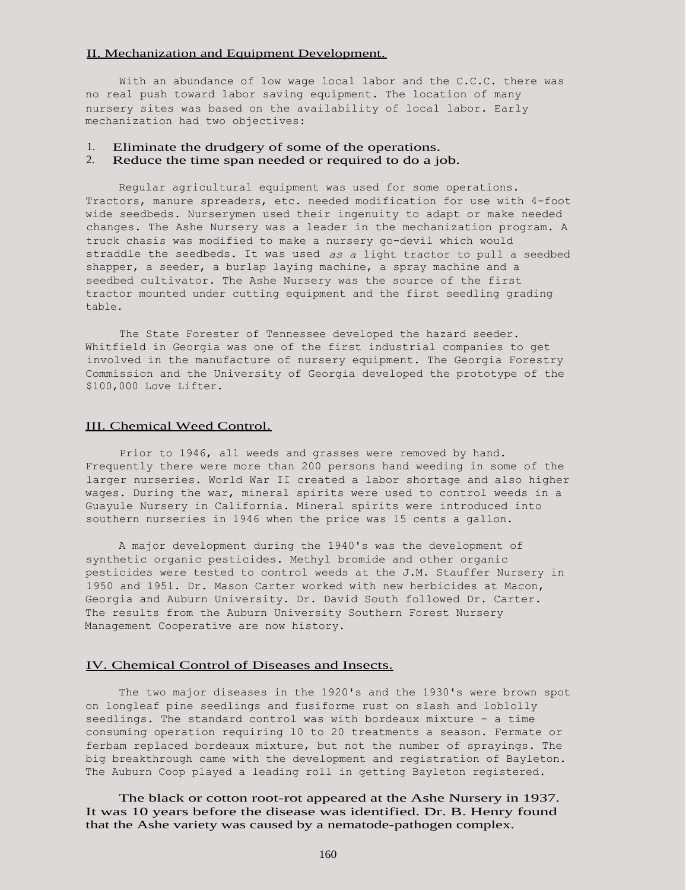### II. Mechanization and Equipment Development.

With an abundance of low wage local labor and the C.C.C. there was no real push toward labor saving equipment. The location of many nursery sites was based on the availability of local labor. Early mechanization had two objectives:

# 1. Eliminate the drudgery of some of the operations.

# 2. Reduce the time span needed or required to do a job.

Regular agricultural equipment was used for some operations. Tractors, manure spreaders, etc. needed modification for use with 4-foot wide seedbeds. Nurserymen used their ingenuity to adapt or make needed changes. The Ashe Nursery was a leader in the mechanization program. A truck chasis was modified to make a nursery go-devil which would straddle the seedbeds. It was used *as a* light tractor to pull a seedbed shapper, a seeder, a burlap laying machine, a spray machine and a seedbed cultivator. The Ashe Nursery was the source of the first tractor mounted under cutting equipment and the first seedling grading table.

The State Forester of Tennessee developed the hazard seeder. Whitfield in Georgia was one of the first industrial companies to get involved in the manufacture of nursery equipment. The Georgia Forestry Commission and the University of Georgia developed the prototype of the \$100,000 Love Lifter.

## III. Chemical Weed Control.

Prior to 1946, all weeds and grasses were removed by hand. Frequently there were more than 200 persons hand weeding in some of the larger nurseries. World War II created a labor shortage and also higher wages. During the war, mineral spirits were used to control weeds in a Guayule Nursery in California. Mineral spirits were introduced into southern nurseries in 1946 when the price was 15 cents a gallon.

A major development during the 1940's was the development of synthetic organic pesticides. Methyl bromide and other organic pesticides were tested to control weeds at the J.M. Stauffer Nursery in 1950 and 1951. Dr. Mason Carter worked with new herbicides at Macon, Georgia and Auburn University. Dr. David South followed Dr. Carter. The results from the Auburn University Southern Forest Nursery Management Cooperative are now history.

### IV. Chemical Control of Diseases and Insects.

The two major diseases in the 1920's and the 1930's were brown spot on longleaf pine seedlings and fusiforme rust on slash and loblolly seedlings. The standard control was with bordeaux mixture - a time consuming operation requiring 10 to 20 treatments a season. Fermate or ferbam replaced bordeaux mixture, but not the number of sprayings. The big breakthrough came with the development and registration of Bayleton. The Auburn Coop played a leading roll in getting Bayleton registered.

The black or cotton root-rot appeared at the Ashe Nursery in 1937. It was 10 years before the disease was identified. Dr. B. Henry found that the Ashe variety was caused by a nematode-pathogen complex.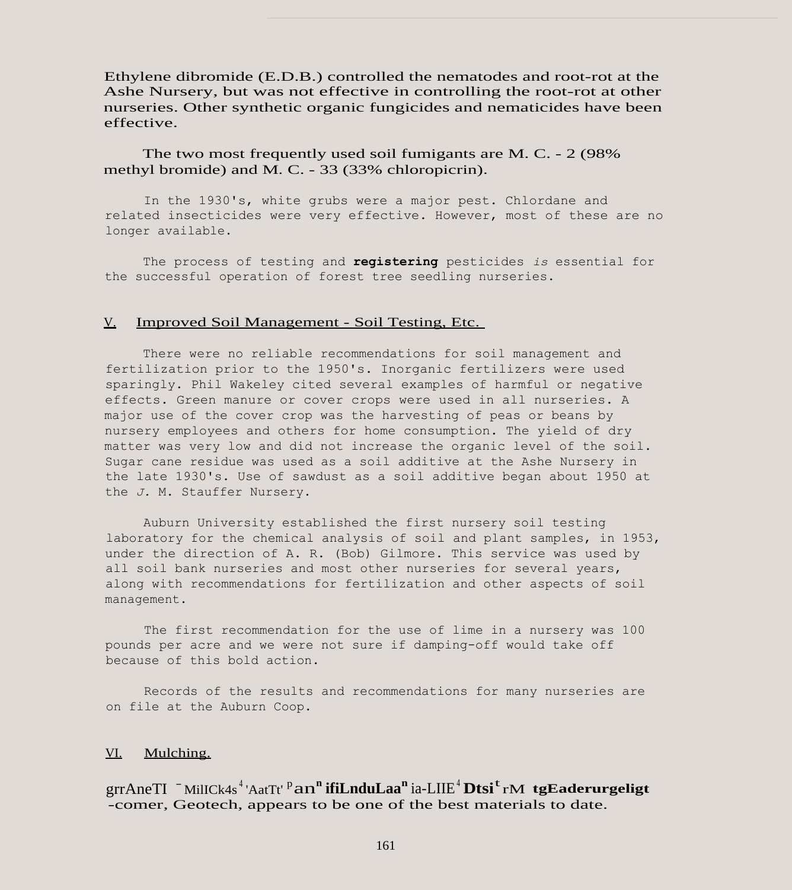Ethylene dibromide (E.D.B.) controlled the nematodes and root-rot at the Ashe Nursery, but was not effective in controlling the root-rot at other nurseries. Other synthetic organic fungicides and nematicides have been effective.

The two most frequently used soil fumigants are M. C. - 2 (98% methyl bromide) and M. C. - 33 (33% chloropicrin).

In the 1930's, white grubs were a major pest. Chlordane and related insecticides were very effective. However, most of these are no longer available.

The process of testing and **registering** pesticides *is* essential for the successful operation of forest tree seedling nurseries.

#### V. Improved Soil Management - Soil Testing, Etc.

There were no reliable recommendations for soil management and fertilization prior to the 1950's. Inorganic fertilizers were used sparingly. Phil Wakeley cited several examples of harmful or negative effects. Green manure or cover crops were used in all nurseries. A major use of the cover crop was the harvesting of peas or beans by nursery employees and others for home consumption. The yield of dry matter was very low and did not increase the organic level of the soil. Sugar cane residue was used as a soil additive at the Ashe Nursery in the late 1930's. Use of sawdust as a soil additive began about 1950 at the *J.* M. Stauffer Nursery.

Auburn University established the first nursery soil testing laboratory for the chemical analysis of soil and plant samples, in 1953, under the direction of A. R. (Bob) Gilmore. This service was used by all soil bank nurseries and most other nurseries for several years, along with recommendations for fertilization and other aspects of soil management.

The first recommendation for the use of lime in a nursery was 100 pounds per acre and we were not sure if damping-off would take off because of this bold action.

Records of the results and recommendations for many nurseries are on file at the Auburn Coop.

### VI. Mulching.

grrAneTI - MilICk4s <sup>4</sup> 'AatTt' <sup>p</sup> an**<sup>n</sup> ifiLnduLaa<sup>n</sup>** ia-LIIE<sup>4</sup> **Dtsi**t rM **tgEaderurgeligt** -comer, Geotech, appears to be one of the best materials to date.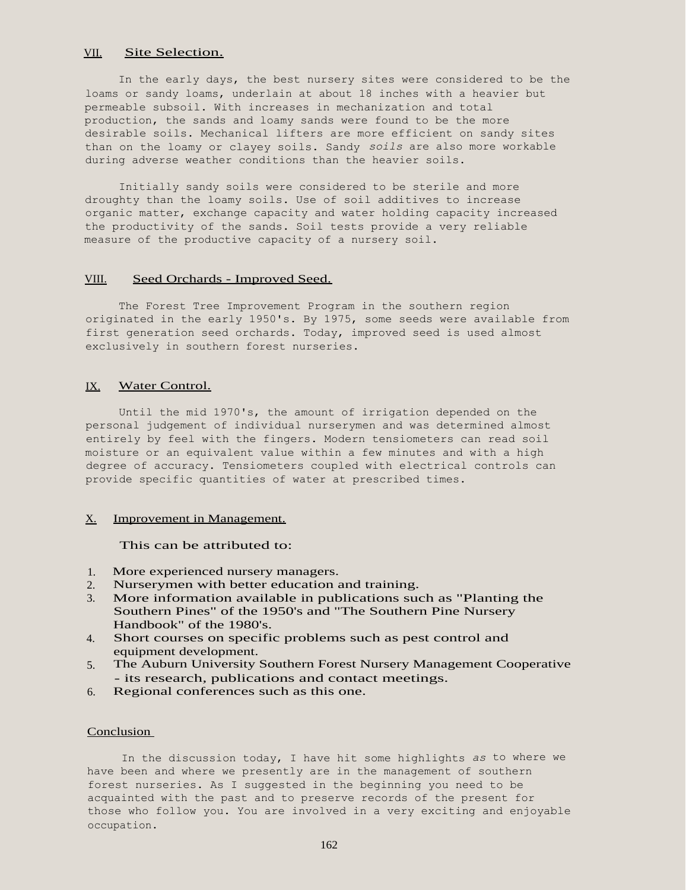# VII. Site Selection.

In the early days, the best nursery sites were considered to be the loams or sandy loams, underlain at about 18 inches with a heavier but permeable subsoil. With increases in mechanization and total production, the sands and loamy sands were found to be the more desirable soils. Mechanical lifters are more efficient on sandy sites than on the loamy or clayey soils. Sandy *soils* are also more workable during adverse weather conditions than the heavier soils.

Initially sandy soils were considered to be sterile and more droughty than the loamy soils. Use of soil additives to increase organic matter, exchange capacity and water holding capacity increased the productivity of the sands. Soil tests provide a very reliable measure of the productive capacity of a nursery soil.

### VIII. Seed Orchards - Improved Seed.

The Forest Tree Improvement Program in the southern region originated in the early 1950's. By 1975, some seeds were available from first generation seed orchards. Today, improved seed is used almost exclusively in southern forest nurseries.

### IX. Water Control.

Until the mid 1970's, the amount of irrigation depended on the personal judgement of individual nurserymen and was determined almost entirely by feel with the fingers. Modern tensiometers can read soil moisture or an equivalent value within a few minutes and with a high degree of accuracy. Tensiometers coupled with electrical controls can provide specific quantities of water at prescribed times.

### X. Improvement in Management.

### This can be attributed to:

- 1. More experienced nursery managers.
- 2. Nurserymen with better education and training.
- 3. More information available in publications such as "Planting the Southern Pines" of the 1950's and "The Southern Pine Nursery Handbook" of the 1980's.
- 4. Short courses on specific problems such as pest control and equipment development.
- 5. The Auburn University Southern Forest Nursery Management Cooperative - its research, publications and contact meetings.
- 6. Regional conferences such as this one.

### **Conclusion**

In the discussion today, I have hit some highlights *as* to where we have been and where we presently are in the management of southern forest nurseries. As I suggested in the beginning you need to be acquainted with the past and to preserve records of the present for those who follow you. You are involved in a very exciting and enjoyable occupation.